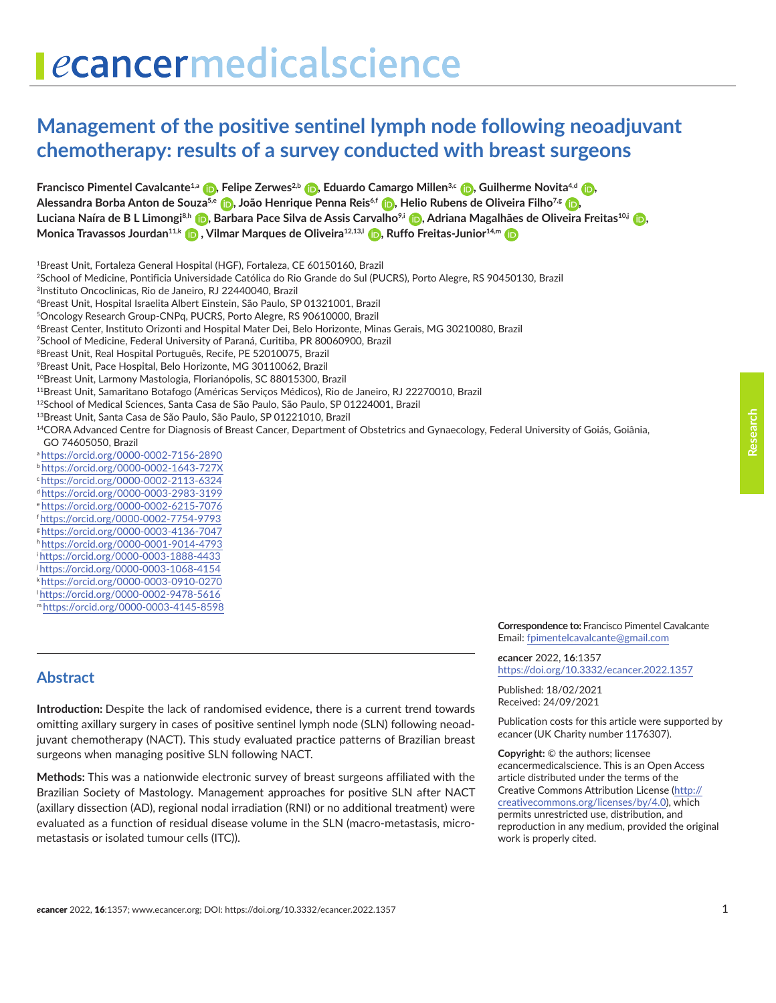# **Management of the positive sentinel lymph node following neoadjuvant chemotherapy: results of a survey conducted with breast surgeons**

**Francisco Pimentel Cavalcante<sup>1[,](https://orcid.org/0000-0003-2983-3199)a</sup> (D)**[,](https://orcid.org/0000-0002-2113-6324) Felipe Zerwes<sup>2,b</sup> (D), Eduardo Camargo Millen<sup>3,c</sup> (D), Guilherme Novita<sup>4,d</sup> (D), **Alessandra Borba Anton de Souza5,e [,](https://orcid.org/0000-0002-6215-7076) João Henrique Penna Reis6,f [,](https://orcid.org/0000-0002-7754-9793) Helio Rubens de Oliveira Filho7,g [,](https://orcid.org/0000-0003-4136-7047)  Luciana Naíra de B L Limongi8,h [,](https://orcid.org/0000-0001-9014-4793) Barbara Pace Silva de Assis Carvalho9,i [,](https://orcid.org/0000-0003-1888-4433) Adriana Magalhães de Oliveira Freitas10,j [,](https://orcid.org/0000-0003-1068-4154)  MonicaTravassos Jourdan<sup>11,k</sup> (b)**[,](https://orcid.org/0000-0002-9478-5616) Vilmar Marques de Oliveira<sup>12,13,l</sup> (b), Ruffo Freitas-Junior<sup>14,m</sup> (b)

- 1Breast Unit, Fortaleza General Hospital (HGF), Fortaleza, CE 60150160, Brazil
- 2School of Medicine, Pontificia Universidade Católica do Rio Grande do Sul (PUCRS), Porto Alegre, RS 90450130, Brazil
- 3Instituto Oncoclinicas, Rio de Janeiro, RJ 22440040, Brazil
- 4Breast Unit, Hospital Israelita Albert Einstein, São Paulo, SP 01321001, Brazil
- 5Oncology Research Group-CNPq, PUCRS, Porto Alegre, RS 90610000, Brazil
- 6Breast Center, Instituto Orizonti and Hospital Mater Dei, Belo Horizonte, Minas Gerais, MG 30210080, Brazil
- 7School of Medicine, Federal University of Paraná, Curitiba, PR 80060900, Brazil
- 8Breast Unit, Real Hospital Português, Recife, PE 52010075, Brazil
- 9Breast Unit, Pace Hospital, Belo Horizonte, MG 30110062, Brazil
- <sup>10</sup>Breast Unit, Larmony Mastologia, Florianópolis, SC 88015300, Brazil
- 11Breast Unit, Samaritano Botafogo (Américas Serviços Médicos), Rio de Janeiro, RJ 22270010, Brazil
- 12School of Medical Sciences, Santa Casa de São Paulo, São Paulo, SP 01224001, Brazil
- 13Breast Unit, Santa Casa de São Paulo, São Paulo, SP 01221010, Brazil

<sup>14</sup>CORA Advanced Centre for Diagnosis of Breast Cancer, Department of Obstetrics and Gynaecology, Federal University of Goiás, Goiânia, GO 74605050, Brazil

- a <https://orcid.org/0000-0002-7156-2890>
- b <https://orcid.org/0000-0002-1643-727X>
- c<https://orcid.org/0000-0002-2113-6324>
- d <https://orcid.org/0000-0003-2983-3199>
- e <https://orcid.org/0000-0002-6215-7076>
- f <https://orcid.org/0000-0002-7754-9793>
- g <https://orcid.org/0000-0003-4136-7047>
- h <https://orcid.org/0000-0001-9014-4793>
- i<https://orcid.org/0000-0003-1888-4433>
- j<https://orcid.org/0000-0003-1068-4154>
- k <https://orcid.org/0000-0003-0910-0270>
- l<https://orcid.org/0000-0002-9478-5616>
- m<https://orcid.org/0000-0003-4145-8598>

# **Abstract**

**Introduction:** Despite the lack of randomised evidence, there is a current trend towards omitting axillary surgery in cases of positive sentinel lymph node (SLN) following neoadjuvant chemotherapy (NACT). This study evaluated practice patterns of Brazilian breast surgeons when managing positive SLN following NACT.

**Methods:** This was a nationwide electronic survey of breast surgeons affiliated with the Brazilian Society of Mastology. Management approaches for positive SLN after NACT (axillary dissection (AD), regional nodal irradiation (RNI) or no additional treatment) were evaluated as a function of residual disease volume in the SLN (macro-metastasis, micrometastasis or isolated tumour cells (ITC)).

**Correspondence to:** Francisco Pimentel Cavalcante Email: [fpimentelcavalcante@gmail.com](mailto:fpimentelcavalcante@gmail.com)

*e***cancer** 2022, **16**:1357 <https://doi.org/10.3332/ecancer.2022.1357>

Published: 18/02/2021 Received: 24/09/2021

Publication costs for this article were supported by *e*cancer (UK Charity number 1176307).

**Copyright:** © the authors; licensee *e*cancermedicalscience. This is an Open Access article distributed under the terms of the Creative Commons Attribution License (http:// creativecommons.org/licenses/by/4.0), which permits unrestricted use, distribution, and reproduction in any medium, provided the original work is properly cited.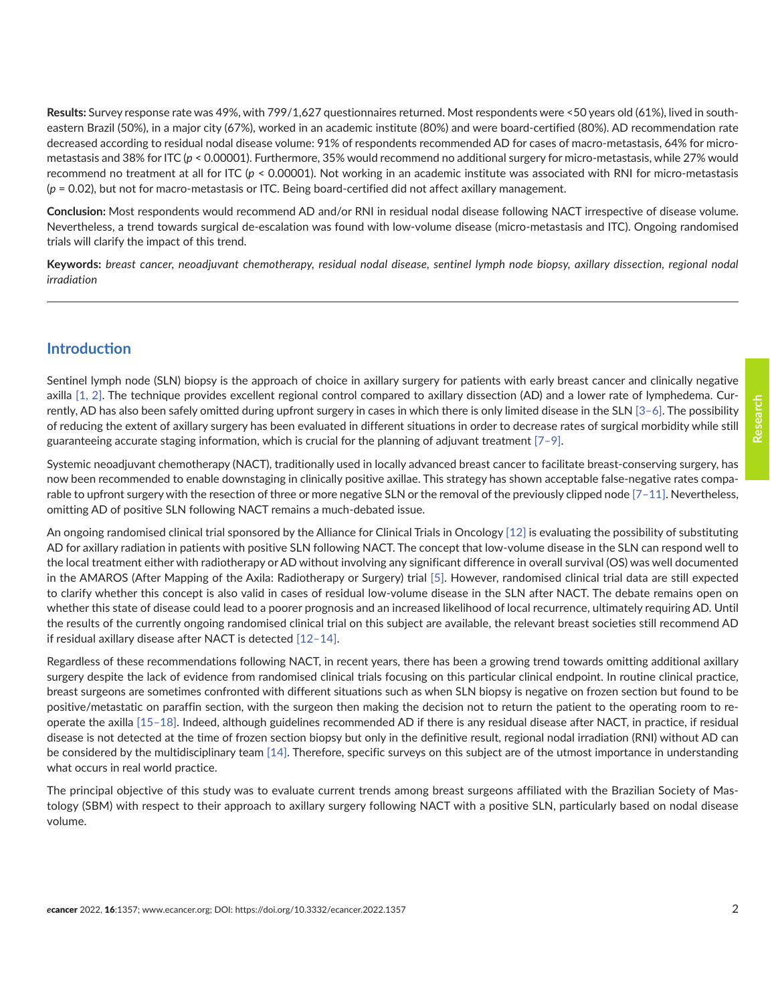**Results:** Survey response rate was 49%, with 799/1,627 questionnaires returned. Most respondents were <50 years old (61%), lived in southeastern Brazil (50%), in a major city (67%), worked in an academic institute (80%) and were board-certified (80%). AD recommendation rate decreased according to residual nodal disease volume: 91% of respondents recommended AD for cases of macro-metastasis, 64% for micrometastasis and 38% for ITC (*p* < 0.00001). Furthermore, 35% would recommend no additional surgery for micro-metastasis, while 27% would recommend no treatment at all for ITC (*p* < 0.00001). Not working in an academic institute was associated with RNI for micro-metastasis (*p* = 0.02), but not for macro-metastasis or ITC. Being board-certified did not affect axillary management.

**Conclusion:** Most respondents would recommend AD and/or RNI in residual nodal disease following NACT irrespective of disease volume. Nevertheless, a trend towards surgical de-escalation was found with low-volume disease (micro-metastasis and ITC). Ongoing randomised trials will clarify the impact of this trend.

**Keywords:** *breast cancer, neoadjuvant chemotherapy, residual nodal disease, sentinel lymph node biopsy, axillary dissection, regional nodal irradiation*

#### **Introduction**

Sentinel lymph node (SLN) biopsy is the approach of choice in axillary surgery for patients with early breast cancer and clinically negative axilla [\[1, 2\].](#page-8-0) The technique provides excellent regional control compared to axillary dissection (AD) and a lower rate of lymphedema. Currently, AD has also been safely omitted during upfront surgery in cases in which there is only limited disease in the SLN [3-6]. The possibility of reducing the extent of axillary surgery has been evaluated in different situations in order to decrease rates of surgical morbidity while still guaranteeing accurate staging information, which is crucial for the planning of adjuvant treatment  $[7-9]$ .

Systemic neoadjuvant chemotherapy (NACT), traditionally used in locally advanced breast cancer to facilitate breast-conserving surgery, has now been recommended to enable downstaging in clinically positive axillae. This strategy has shown acceptable false-negative rates comparable to upfront surgery with the resection of three or more negative SLN or the removal of the previously clipped node [7-11]. Nevertheless, omitting AD of positive SLN following NACT remains a much-debated issue.

An ongoing randomised clinical trial sponsored by the Alliance for Clinical Trials in Oncology [\[12\]](#page-9-0) is evaluating the possibility of substituting AD for axillary radiation in patients with positive SLN following NACT. The concept that low-volume disease in the SLN can respond well to the local treatment either with radiotherapy or AD without involving any significant difference in overall survival (OS) was well documented in the AMAROS (After Mapping of the Axila: Radiotherapy or Surgery) trial [\[5\].](#page-8-0) However, randomised clinical trial data are still expected to clarify whether this concept is also valid in cases of residual low-volume disease in the SLN after NACT. The debate remains open on whether this state of disease could lead to a poorer prognosis and an increased likelihood of local recurrence, ultimately requiring AD. Until the results of the currently ongoing randomised clinical trial on this subject are available, the relevant breast societies still recommend AD if residual axillary disease after NACT is detected [\[12–14\].](#page-9-0)

Regardless of these recommendations following NACT, in recent years, there has been a growing trend towards omitting additional axillary surgery despite the lack of evidence from randomised clinical trials focusing on this particular clinical endpoint. In routine clinical practice, breast surgeons are sometimes confronted with different situations such as when SLN biopsy is negative on frozen section but found to be positive/metastatic on paraffin section, with the surgeon then making the decision not to return the patient to the operating room to reoperate the axilla [\[15–18\].](#page-9-0) Indeed, although guidelines recommended AD if there is any residual disease after NACT, in practice, if residual disease is not detected at the time of frozen section biopsy but only in the definitive result, regional nodal irradiation (RNI) without AD can be considered by the multidisciplinary team [\[14\].](#page-9-0) Therefore, specific surveys on this subject are of the utmost importance in understanding what occurs in real world practice.

The principal objective of this study was to evaluate current trends among breast surgeons affiliated with the Brazilian Society of Mastology (SBM) with respect to their approach to axillary surgery following NACT with a positive SLN, particularly based on nodal disease volume.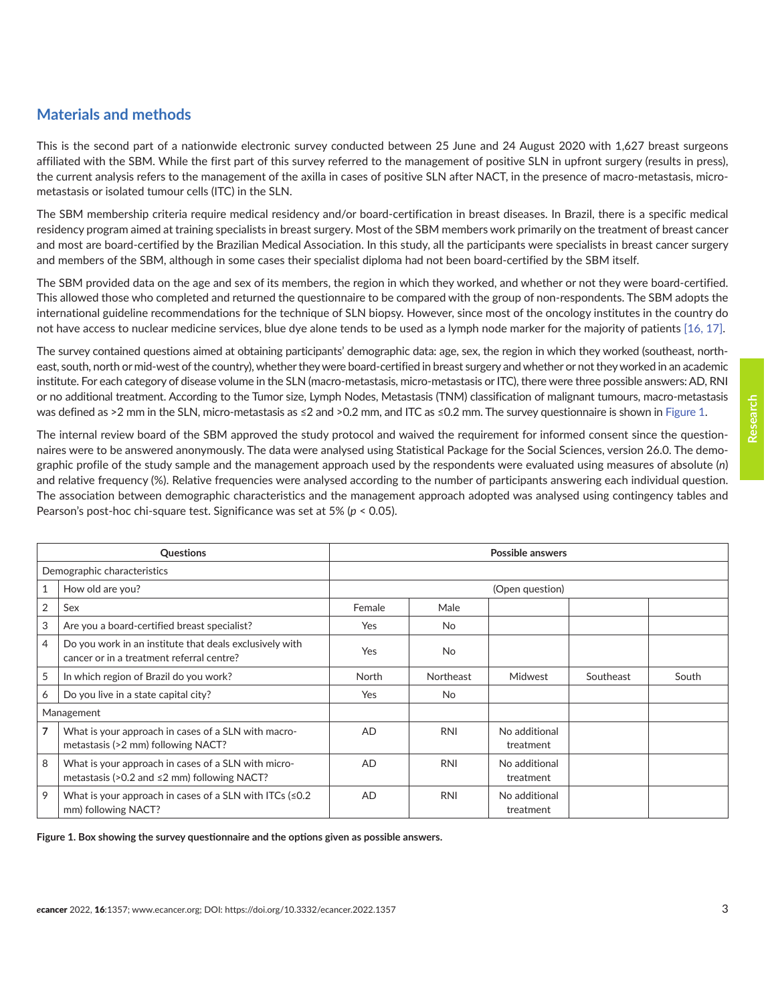# **Materials and methods**

This is the second part of a nationwide electronic survey conducted between 25 June and 24 August 2020 with 1,627 breast surgeons affiliated with the SBM. While the first part of this survey referred to the management of positive SLN in upfront surgery (results in press), the current analysis refers to the management of the axilla in cases of positive SLN after NACT, in the presence of macro-metastasis, micrometastasis or isolated tumour cells (ITC) in the SLN.

The SBM membership criteria require medical residency and/or board-certification in breast diseases. In Brazil, there is a specific medical residency program aimed at training specialists in breast surgery. Most of the SBM members work primarily on the treatment of breast cancer and most are board-certified by the Brazilian Medical Association. In this study, all the participants were specialists in breast cancer surgery and members of the SBM, although in some cases their specialist diploma had not been board-certified by the SBM itself.

The SBM provided data on the age and sex of its members, the region in which they worked, and whether or not they were board-certified. This allowed those who completed and returned the questionnaire to be compared with the group of non-respondents. The SBM adopts the international guideline recommendations for the technique of SLN biopsy. However, since most of the oncology institutes in the country do not have access to nuclear medicine services, blue dye alone tends to be used as a lymph node marker for the majority of patients [\[16, 17\].](#page-9-0)

The survey contained questions aimed at obtaining participants' demographic data: age, sex, the region in which they worked (southeast, northeast, south, north or mid-west of the country), whether they were board-certified in breast surgery and whether or not they worked in an academic institute. For each category of disease volume in the SLN (macro-metastasis, micro-metastasis or ITC), there were three possible answers: AD, RNI or no additional treatment. According to the Tumor size, Lymph Nodes, Metastasis (TNM) classification of malignant tumours, macro-metastasis was defined as >2 mm in the SLN, micro-metastasis as ≤2 and >0.2 mm, and ITC as ≤0.2 mm. The survey questionnaire is shown in Figure 1.

The internal review board of the SBM approved the study protocol and waived the requirement for informed consent since the questionnaires were to be answered anonymously. The data were analysed using Statistical Package for the Social Sciences, version 26.0. The demographic profile of the study sample and the management approach used by the respondents were evaluated using measures of absolute (*n*) and relative frequency (%). Relative frequencies were analysed according to the number of participants answering each individual question. The association between demographic characteristics and the management approach adopted was analysed using contingency tables and Pearson's post-hoc chi-square test. Significance was set at 5% (*p* < 0.05).

|                             | Questions                                                                                            |                 |            | Possible answers           |           |       |
|-----------------------------|------------------------------------------------------------------------------------------------------|-----------------|------------|----------------------------|-----------|-------|
| Demographic characteristics |                                                                                                      |                 |            |                            |           |       |
| 1                           | How old are you?                                                                                     | (Open question) |            |                            |           |       |
| $\overline{2}$              | Sex                                                                                                  | Female          | Male       |                            |           |       |
| 3                           | Are you a board-certified breast specialist?                                                         | <b>Yes</b>      | <b>No</b>  |                            |           |       |
| 4                           | Do you work in an institute that deals exclusively with<br>cancer or in a treatment referral centre? | Yes             | <b>No</b>  |                            |           |       |
| 5                           | In which region of Brazil do you work?                                                               | North           | Northeast  | Midwest                    | Southeast | South |
| 6                           | Do you live in a state capital city?                                                                 | Yes             | No         |                            |           |       |
|                             | Management                                                                                           |                 |            |                            |           |       |
| 7                           | What is your approach in cases of a SLN with macro-<br>metastasis (>2 mm) following NACT?            | <b>AD</b>       | <b>RNI</b> | No additional<br>treatment |           |       |
| 8                           | What is your approach in cases of a SLN with micro-<br>metastasis (>0.2 and ≤2 mm) following NACT?   | <b>AD</b>       | <b>RNI</b> | No additional<br>treatment |           |       |
| 9                           | What is your approach in cases of a SLN with ITCs $(50.2)$<br>mm) following NACT?                    | AD              | <b>RNI</b> | No additional<br>treatment |           |       |

**Figure 1. Box showing the survey questionnaire and the options given as possible answers.**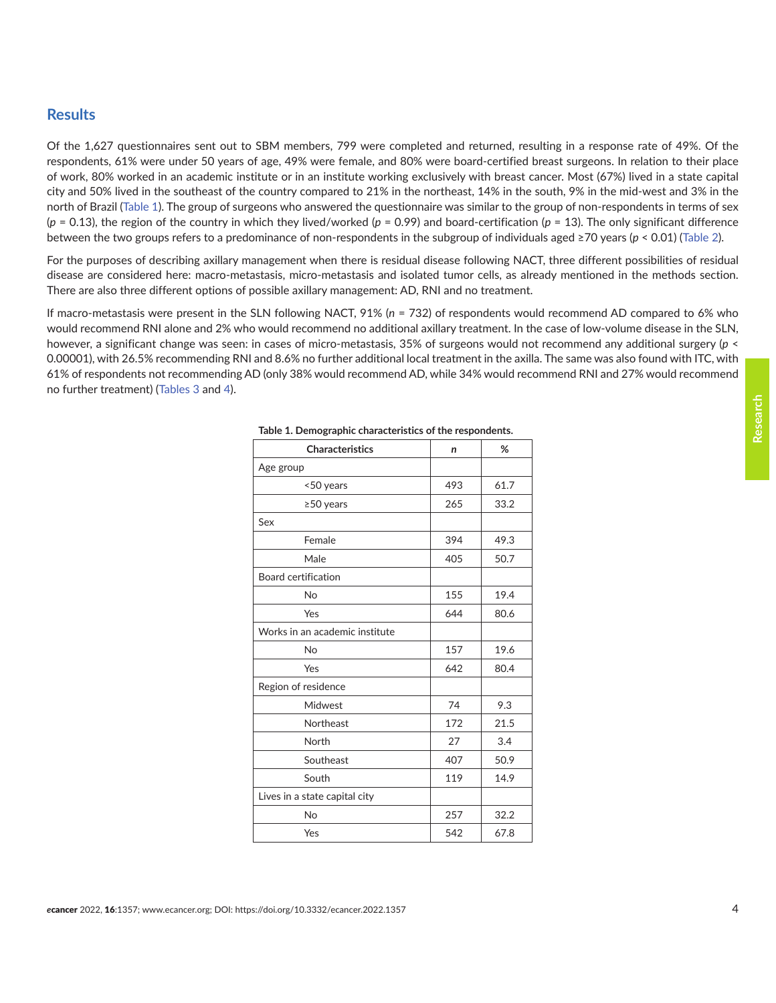#### **Results**

Of the 1,627 questionnaires sent out to SBM members, 799 were completed and returned, resulting in a response rate of 49%. Of the respondents, 61% were under 50 years of age, 49% were female, and 80% were board-certified breast surgeons. In relation to their place of work, 80% worked in an academic institute or in an institute working exclusively with breast cancer. Most (67%) lived in a state capital city and 50% lived in the southeast of the country compared to 21% in the northeast, 14% in the south, 9% in the mid-west and 3% in the north of Brazil (Table 1). The group of surgeons who answered the questionnaire was similar to the group of non-respondents in terms of sex  $(p = 0.13)$ , the region of the country in which they lived/worked  $(p = 0.99)$  and board-certification  $(p = 13)$ . The only significant difference between the two groups refers to a predominance of non-respondents in the subgroup of individuals aged ≥70 years (*p* < 0.01) ([Table 2](#page-4-0)).

For the purposes of describing axillary management when there is residual disease following NACT, three different possibilities of residual disease are considered here: macro-metastasis, micro-metastasis and isolated tumor cells, as already mentioned in the methods section. There are also three different options of possible axillary management: AD, RNI and no treatment.

If macro-metastasis were present in the SLN following NACT, 91% (*n* = 732) of respondents would recommend AD compared to 6% who would recommend RNI alone and 2% who would recommend no additional axillary treatment. In the case of low-volume disease in the SLN, however, a significant change was seen: in cases of micro-metastasis, 35% of surgeons would not recommend any additional surgery (*p* < 0.00001), with 26.5% recommending RNI and 8.6% no further additional local treatment in the axilla. The same was also found with ITC, with 61% of respondents not recommending AD (only 38% would recommend AD, while 34% would recommend RNI and 27% would recommend no further treatment) [\(Tables 3](#page-4-0) and [4\)](#page-4-0).

| Characteristics                | n   | %    |
|--------------------------------|-----|------|
| Age group                      |     |      |
| <50 years                      | 493 | 61.7 |
| ≥50 years                      | 265 | 33.2 |
| Sex                            |     |      |
| Female                         | 394 | 49.3 |
| Male                           | 405 | 50.7 |
| Board certification            |     |      |
| <b>No</b>                      | 155 | 19.4 |
| Yes                            | 644 | 80.6 |
| Works in an academic institute |     |      |
| No                             | 157 | 19.6 |
| Yes                            | 642 | 80.4 |
| Region of residence            |     |      |
| Midwest                        | 74  | 9.3  |
| Northeast                      | 172 | 21.5 |
| North                          | 27  | 3.4  |
| Southeast                      | 407 | 50.9 |
| South                          | 119 | 14.9 |
| Lives in a state capital city  |     |      |
| <b>No</b>                      | 257 | 32.2 |
| Yes                            | 542 | 67.8 |

|  |  |  | Table 1. Demographic characteristics of the respondents. |  |
|--|--|--|----------------------------------------------------------|--|
|  |  |  |                                                          |  |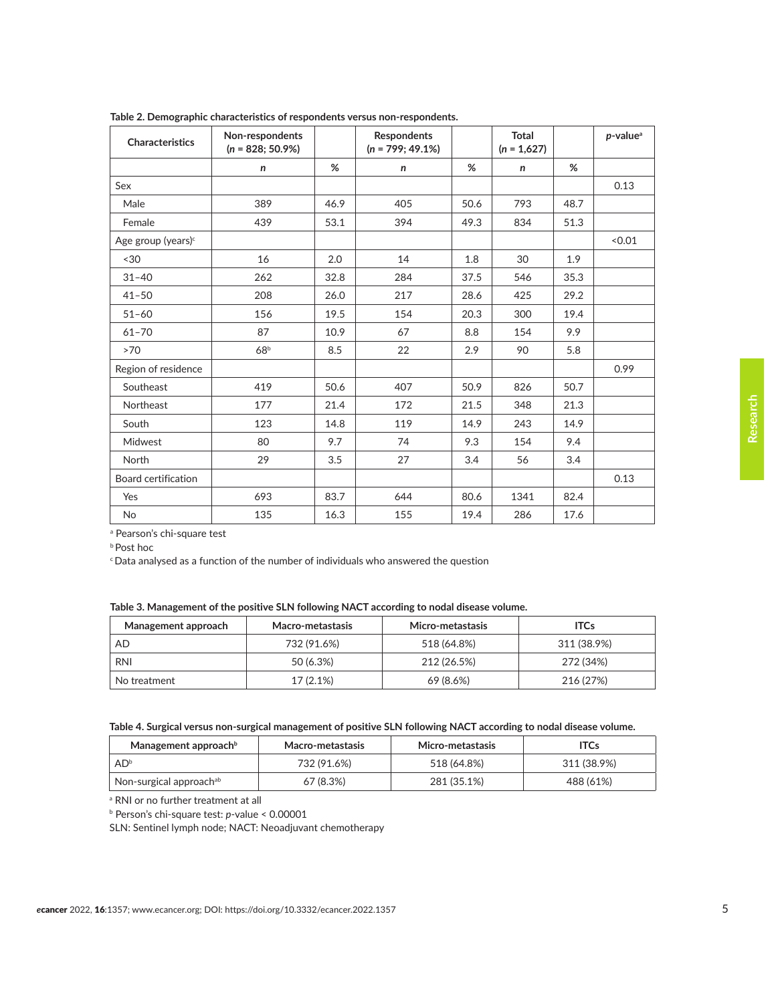| <b>Characteristics</b>         | Non-respondents<br>$(n = 828; 50.9%)$ |      | <b>Respondents</b><br>$(n = 799; 49.1\%)$ |      | Total<br>$(n = 1,627)$ |      | $p$ -value <sup>a</sup> |
|--------------------------------|---------------------------------------|------|-------------------------------------------|------|------------------------|------|-------------------------|
|                                | $\mathsf{n}$                          | %    | n                                         | %    | $\mathsf{n}$           | %    |                         |
| Sex                            |                                       |      |                                           |      |                        |      | 0.13                    |
| Male                           | 389                                   | 46.9 | 405                                       | 50.6 | 793                    | 48.7 |                         |
| Female                         | 439                                   | 53.1 | 394                                       | 49.3 | 834                    | 51.3 |                         |
| Age group (years) <sup>c</sup> |                                       |      |                                           |      |                        |      | < 0.01                  |
| ~130                           | 16                                    | 2.0  | 14                                        | 1.8  | 30                     | 1.9  |                         |
| $31 - 40$                      | 262                                   | 32.8 | 284                                       | 37.5 | 546                    | 35.3 |                         |
| $41 - 50$                      | 208                                   | 26.0 | 217                                       | 28.6 | 425                    | 29.2 |                         |
| $51 - 60$                      | 156                                   | 19.5 | 154                                       | 20.3 | 300                    | 19.4 |                         |
| $61 - 70$                      | 87                                    | 10.9 | 67                                        | 8.8  | 154                    | 9.9  |                         |
| >70                            | 68 <sup>b</sup>                       | 8.5  | 22                                        | 2.9  | 90                     | 5.8  |                         |
| Region of residence            |                                       |      |                                           |      |                        |      | 0.99                    |
| Southeast                      | 419                                   | 50.6 | 407                                       | 50.9 | 826                    | 50.7 |                         |
| Northeast                      | 177                                   | 21.4 | 172                                       | 21.5 | 348                    | 21.3 |                         |
| South                          | 123                                   | 14.8 | 119                                       | 14.9 | 243                    | 14.9 |                         |
| Midwest                        | 80                                    | 9.7  | 74                                        | 9.3  | 154                    | 9.4  |                         |
| North                          | 29                                    | 3.5  | 27                                        | 3.4  | 56                     | 3.4  |                         |
| Board certification            |                                       |      |                                           |      |                        |      | 0.13                    |
| Yes                            | 693                                   | 83.7 | 644                                       | 80.6 | 1341                   | 82.4 |                         |
| <b>No</b>                      | 135                                   | 16.3 | 155                                       | 19.4 | 286                    | 17.6 |                         |

<span id="page-4-0"></span>**Table 2. Demographic characteristics of respondents versus non-respondents.**

a Pearson's chi-square test

b Post hoc

c Data analysed as a function of the number of individuals who answered the question

|  | Table 3. Management of the positive SLN following NACT according to nodal disease volume. |
|--|-------------------------------------------------------------------------------------------|
|  |                                                                                           |

| Management approach | Macro-metastasis | Micro-metastasis | <b>ITCs</b> |
|---------------------|------------------|------------------|-------------|
| AD                  | 732 (91.6%)      | 518 (64.8%)      | 311 (38.9%) |
| <b>RNI</b>          | 50 (6.3%)        | 212 (26.5%)      | 272 (34%)   |
| No treatment        | 17(2.1%)         | 69 (8.6%)        | 216 (27%)   |

|  | Table 4. Surgical versus non-surgical management of positive SLN following NACT according to nodal disease volume. |  |
|--|--------------------------------------------------------------------------------------------------------------------|--|
|  |                                                                                                                    |  |

| Management approach $b$             | Macro-metastasis | Micro-metastasis | <b>ITCs</b> |
|-------------------------------------|------------------|------------------|-------------|
| AD <sup>b</sup>                     | 732 (91.6%)      | 518 (64.8%)      | 311 (38.9%) |
| Non-surgical approach <sup>ab</sup> | 67 (8.3%)        | 281 (35.1%)      | 488 (61%)   |

a RNI or no further treatment at all

b Person's chi-square test: *p*-value < 0.00001

SLN: Sentinel lymph node; NACT: Neoadjuvant chemotherapy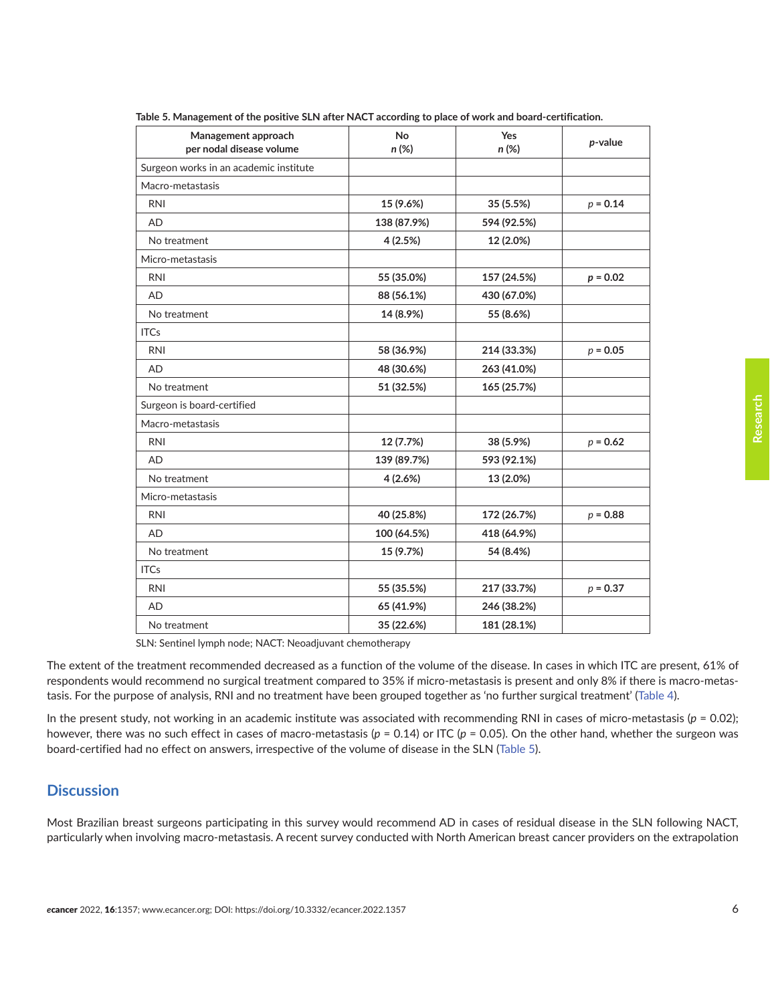| Management approach<br>per nodal disease volume | <b>No</b><br>n (%) | Yes<br>n (%) | p-value    |
|-------------------------------------------------|--------------------|--------------|------------|
| Surgeon works in an academic institute          |                    |              |            |
| Macro-metastasis                                |                    |              |            |
| <b>RNI</b>                                      | 15 (9.6%)          | 35 (5.5%)    | $p = 0.14$ |
| <b>AD</b>                                       | 138 (87.9%)        | 594 (92.5%)  |            |
| No treatment                                    | 4 (2.5%)           | 12 (2.0%)    |            |
| Micro-metastasis                                |                    |              |            |
| <b>RNI</b>                                      | 55 (35.0%)         | 157 (24.5%)  | $p = 0.02$ |
| <b>AD</b>                                       | 88 (56.1%)         | 430 (67.0%)  |            |
| No treatment                                    | 14 (8.9%)          | 55 (8.6%)    |            |
| <b>ITCs</b>                                     |                    |              |            |
| <b>RNI</b>                                      | 58 (36.9%)         | 214 (33.3%)  | $p = 0.05$ |
| <b>AD</b>                                       | 48 (30.6%)         | 263 (41.0%)  |            |
| No treatment                                    | 51 (32.5%)         | 165 (25.7%)  |            |
| Surgeon is board-certified                      |                    |              |            |
| Macro-metastasis                                |                    |              |            |
| <b>RNI</b>                                      | 12 (7.7%)          | 38 (5.9%)    | $p = 0.62$ |
| <b>AD</b>                                       | 139 (89.7%)        | 593 (92.1%)  |            |
| No treatment                                    | 4(2.6%)            | 13 (2.0%)    |            |
| Micro-metastasis                                |                    |              |            |
| <b>RNI</b>                                      | 40 (25.8%)         | 172 (26.7%)  | $p = 0.88$ |
| <b>AD</b>                                       | 100 (64.5%)        | 418 (64.9%)  |            |
| No treatment                                    | 15 (9.7%)          | 54 (8.4%)    |            |
| <b>ITCs</b>                                     |                    |              |            |
| <b>RNI</b>                                      | 55 (35.5%)         | 217 (33.7%)  | $p = 0.37$ |
| <b>AD</b>                                       | 65 (41.9%)         | 246 (38.2%)  |            |
| No treatment                                    | 35 (22.6%)         | 181 (28.1%)  |            |

**Table 5. Management of the positive SLN after NACT according to place of work and board-certification.**

SLN: Sentinel lymph node; NACT: Neoadjuvant chemotherapy

The extent of the treatment recommended decreased as a function of the volume of the disease. In cases in which ITC are present, 61% of respondents would recommend no surgical treatment compared to 35% if micro-metastasis is present and only 8% if there is macro-metastasis. For the purpose of analysis, RNI and no treatment have been grouped together as 'no further surgical treatment' ([Table 4\)](#page-4-0).

In the present study, not working in an academic institute was associated with recommending RNI in cases of micro-metastasis ( $p = 0.02$ ); however, there was no such effect in cases of macro-metastasis (*p* = 0.14) or ITC (*p* = 0.05). On the other hand, whether the surgeon was board-certified had no effect on answers, irrespective of the volume of disease in the SLN (Table 5).

# **Discussion**

Most Brazilian breast surgeons participating in this survey would recommend AD in cases of residual disease in the SLN following NACT, particularly when involving macro-metastasis. A recent survey conducted with North American breast cancer providers on the extrapolation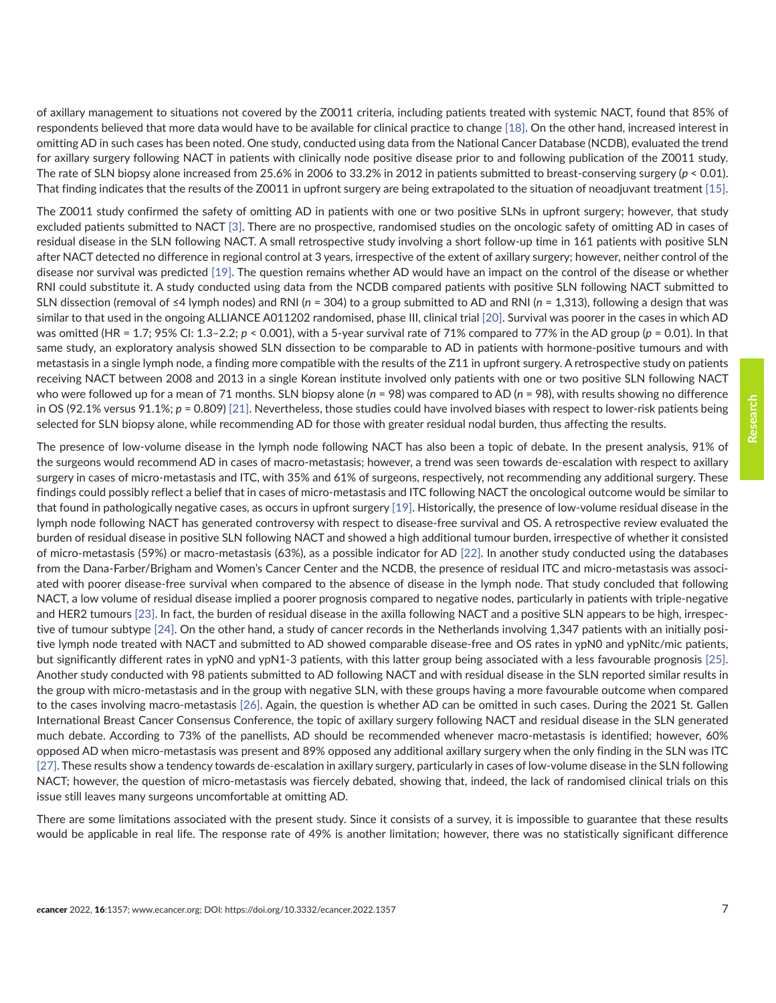of axillary management to situations not covered by the Z0011 criteria, including patients treated with systemic NACT, found that 85% of respondents believed that more data would have to be available for clinical practice to change [\[18\]](#page-9-0). On the other hand, increased interest in omitting AD in such cases has been noted. One study, conducted using data from the National Cancer Database (NCDB), evaluated the trend for axillary surgery following NACT in patients with clinically node positive disease prior to and following publication of the Z0011 study. The rate of SLN biopsy alone increased from 25.6% in 2006 to 33.2% in 2012 in patients submitted to breast-conserving surgery (*p* < 0.01). That finding indicates that the results of the Z0011 in upfront surgery are being extrapolated to the situation of neoadjuvant treatment [\[15\].](#page-9-0)

The Z0011 study confirmed the safety of omitting AD in patients with one or two positive SLNs in upfront surgery; however, that study excluded patients submitted to NACT [\[3\]](#page-8-0). There are no prospective, randomised studies on the oncologic safety of omitting AD in cases of residual disease in the SLN following NACT. A small retrospective study involving a short follow-up time in 161 patients with positive SLN after NACT detected no difference in regional control at 3 years, irrespective of the extent of axillary surgery; however, neither control of the disease nor survival was predicted [\[19\].](#page-9-0) The question remains whether AD would have an impact on the control of the disease or whether RNI could substitute it. A study conducted using data from the NCDB compared patients with positive SLN following NACT submitted to SLN dissection (removal of ≤4 lymph nodes) and RNI (*n* = 304) to a group submitted to AD and RNI (*n* = 1,313), following a design that was similar to that used in the ongoing ALLIANCE A011202 randomised, phase III, clinical trial [\[20\].](#page-9-0) Survival was poorer in the cases in which AD was omitted (HR = 1.7; 95% CI: 1.3–2.2; *p* < 0.001), with a 5-year survival rate of 71% compared to 77% in the AD group (*p* = 0.01). In that same study, an exploratory analysis showed SLN dissection to be comparable to AD in patients with hormone-positive tumours and with metastasis in a single lymph node, a finding more compatible with the results of the Z11 in upfront surgery. A retrospective study on patients receiving NACT between 2008 and 2013 in a single Korean institute involved only patients with one or two positive SLN following NACT who were followed up for a mean of 71 months. SLN biopsy alone (*n* = 98) was compared to AD (*n* = 98), with results showing no difference in OS (92.1% versus 91.1%; *p* = 0.809) [\[21\].](#page-9-0) Nevertheless, those studies could have involved biases with respect to lower-risk patients being selected for SLN biopsy alone, while recommending AD for those with greater residual nodal burden, thus affecting the results.

The presence of low-volume disease in the lymph node following NACT has also been a topic of debate. In the present analysis, 91% of the surgeons would recommend AD in cases of macro-metastasis; however, a trend was seen towards de-escalation with respect to axillary surgery in cases of micro-metastasis and ITC, with 35% and 61% of surgeons, respectively, not recommending any additional surgery. These findings could possibly reflect a belief that in cases of micro-metastasis and ITC following NACT the oncological outcome would be similar to that found in pathologically negative cases, as occurs in upfront surgery [\[19\]](#page-9-0). Historically, the presence of low-volume residual disease in the lymph node following NACT has generated controversy with respect to disease-free survival and OS. A retrospective review evaluated the burden of residual disease in positive SLN following NACT and showed a high additional tumour burden, irrespective of whether it consisted of micro-metastasis (59%) or macro-metastasis (63%), as a possible indicator for AD [\[22\].](#page-9-0) In another study conducted using the databases from the Dana-Farber/Brigham and Women's Cancer Center and the NCDB, the presence of residual ITC and micro-metastasis was associated with poorer disease-free survival when compared to the absence of disease in the lymph node. That study concluded that following NACT, a low volume of residual disease implied a poorer prognosis compared to negative nodes, particularly in patients with triple-negative and HER2 tumours [\[23\]](#page-9-0). In fact, the burden of residual disease in the axilla following NACT and a positive SLN appears to be high, irrespective of tumour subtype [\[24\].](#page-9-0) On the other hand, a study of cancer records in the Netherlands involving 1,347 patients with an initially positive lymph node treated with NACT and submitted to AD showed comparable disease-free and OS rates in ypN0 and ypNitc/mic patients, but significantly different rates in ypN0 and ypN1-3 patients, with this latter group being associated with a less favourable prognosis [\[25\].](#page-9-0) Another study conducted with 98 patients submitted to AD following NACT and with residual disease in the SLN reported similar results in the group with micro-metastasis and in the group with negative SLN, with these groups having a more favourable outcome when compared to the cases involving macro-metastasis [\[26\]](#page-9-0). Again, the question is whether AD can be omitted in such cases. During the 2021 St. Gallen International Breast Cancer Consensus Conference, the topic of axillary surgery following NACT and residual disease in the SLN generated much debate. According to 73% of the panellists, AD should be recommended whenever macro-metastasis is identified; however, 60% opposed AD when micro-metastasis was present and 89% opposed any additional axillary surgery when the only finding in the SLN was ITC [\[27\].](#page-10-0) These results show a tendency towards de-escalation in axillary surgery, particularly in cases of low-volume disease in the SLN following NACT; however, the question of micro-metastasis was fiercely debated, showing that, indeed, the lack of randomised clinical trials on this issue still leaves many surgeons uncomfortable at omitting AD.

There are some limitations associated with the present study. Since it consists of a survey, it is impossible to guarantee that these results would be applicable in real life. The response rate of 49% is another limitation; however, there was no statistically significant difference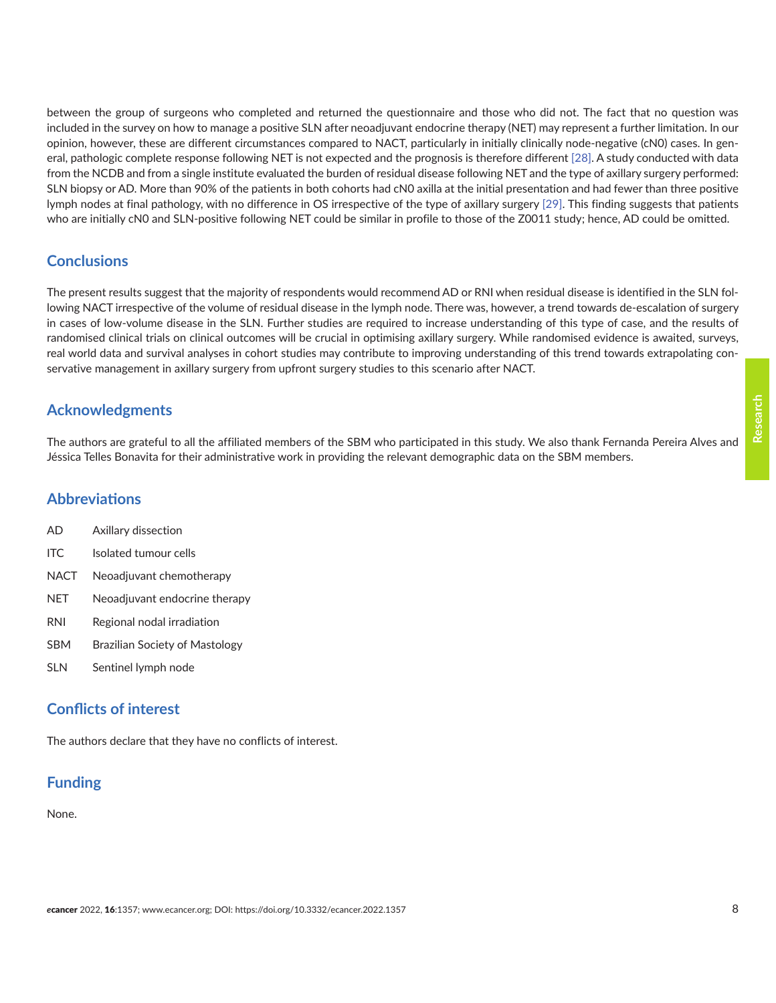between the group of surgeons who completed and returned the questionnaire and those who did not. The fact that no question was included in the survey on how to manage a positive SLN after neoadjuvant endocrine therapy (NET) may represent a further limitation. In our opinion, however, these are different circumstances compared to NACT, particularly in initially clinically node-negative (cN0) cases. In general, pathologic complete response following NET is not expected and the prognosis is therefore different [\[28\].](#page-10-0) A study conducted with data from the NCDB and from a single institute evaluated the burden of residual disease following NET and the type of axillary surgery performed: SLN biopsy or AD. More than 90% of the patients in both cohorts had cN0 axilla at the initial presentation and had fewer than three positive lymph nodes at final pathology, with no difference in OS irrespective of the type of axillary surgery [\[29\].](#page-10-0) This finding suggests that patients who are initially cN0 and SLN-positive following NET could be similar in profile to those of the Z0011 study; hence, AD could be omitted.

# **Conclusions**

The present results suggest that the majority of respondents would recommend AD or RNI when residual disease is identified in the SLN following NACT irrespective of the volume of residual disease in the lymph node. There was, however, a trend towards de-escalation of surgery in cases of low-volume disease in the SLN. Further studies are required to increase understanding of this type of case, and the results of randomised clinical trials on clinical outcomes will be crucial in optimising axillary surgery. While randomised evidence is awaited, surveys, real world data and survival analyses in cohort studies may contribute to improving understanding of this trend towards extrapolating conservative management in axillary surgery from upfront surgery studies to this scenario after NACT.

# **Acknowledgments**

The authors are grateful to all the affiliated members of the SBM who participated in this study. We also thank Fernanda Pereira Alves and Jéssica Telles Bonavita for their administrative work in providing the relevant demographic data on the SBM members.

#### **Abbreviations**

- AD Axillary dissection
- ITC Isolated tumour cells
- NACT Neoadjuvant chemotherapy
- NET Neoadjuvant endocrine therapy
- RNI Regional nodal irradiation
- SBM Brazilian Society of Mastology
- SLN Sentinel lymph node

#### **Conflicts of interest**

The authors declare that they have no conflicts of interest.

# **Funding**

#### None.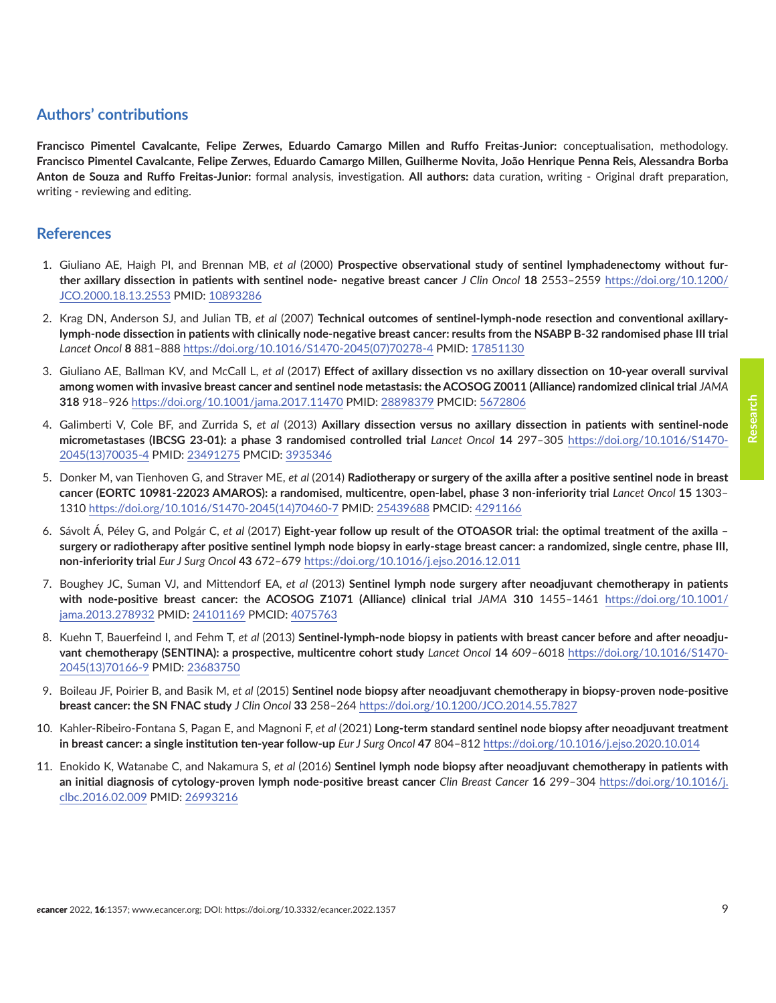# <span id="page-8-0"></span>**Authors' contributions**

**Francisco Pimentel Cavalcante, Felipe Zerwes, Eduardo Camargo Millen and Ruffo Freitas-Junior:** conceptualisation, methodology. **Francisco Pimentel Cavalcante, Felipe Zerwes, Eduardo Camargo Millen, Guilherme Novita, João Henrique Penna Reis, Alessandra Borba Anton de Souza and Ruffo Freitas-Junior:** formal analysis, investigation. **All authors:** data curation, writing - Original draft preparation, writing - reviewing and editing.

#### **References**

- 1. Giuliano AE, Haigh PI, and Brennan MB, *et al* (2000) **Prospective observational study of sentinel lymphadenectomy without further axillary dissection in patients with sentinel node- negative breast cancer** *J Clin Oncol* **18** 2553–2559 [https://doi.org/10.1200/](https://doi.org/10.1200/JCO.2000.18.13.2553) [JCO.2000.18.13.2553](https://doi.org/10.1200/JCO.2000.18.13.2553) PMID: [10893286](http://www.ncbi.nlm.nih.gov/pubmed/10893286)
- 2. Krag DN, Anderson SJ, and Julian TB, *et al* (2007) **Technical outcomes of sentinel-lymph-node resection and conventional axillarylymph-node dissection in patients with clinically node-negative breast cancer: results from the NSABP B-32 randomised phase III trial**  *Lancet Oncol* **8** 881–888 [https://doi.org/10.1016/S1470-2045\(07\)70278-4](https://doi.org/10.1016/S1470-2045(07)70278-4) PMID: [17851130](http://www.ncbi.nlm.nih.gov/pubmed/17851130)
- 3. Giuliano AE, Ballman KV, and McCall L, *et al* (2017) **Effect of axillary dissection vs no axillary dissection on 10-year overall survival among women with invasive breast cancer and sentinel node metastasis: the ACOSOG Z0011 (Alliance) randomized clinical trial** *JAMA* **318** 918–926 <https://doi.org/10.1001/jama.2017.11470>PMID: [28898379](http://www.ncbi.nlm.nih.gov/pubmed/28898379) PMCID: [5672806](http://www.ncbi.nlm.nih.gov/pmc/articles/PMC5672806)
- 4. Galimberti V, Cole BF, and Zurrida S, *et al* (2013) **Axillary dissection versus no axillary dissection in patients with sentinel-node micrometastases (IBCSG 23-01): a phase 3 randomised controlled trial** *Lancet Oncol* **14** 297–305 [https://doi.org/10.1016/S1470-](https://doi.org/10.1016/S1470-2045(13)70035-4) [2045\(13\)70035-4](https://doi.org/10.1016/S1470-2045(13)70035-4) PMID: [23491275](http://www.ncbi.nlm.nih.gov/pubmed/23491275) PMCID: [3935346](http://www.ncbi.nlm.nih.gov/pmc/articles/PMC3935346)
- 5. Donker M, van Tienhoven G, and Straver ME, *et al* (2014) **Radiotherapy or surgery of the axilla after a positive sentinel node in breast cancer (EORTC 10981-22023 AMAROS): a randomised, multicentre, open-label, phase 3 non-inferiority trial** *Lancet Oncol* **15** 1303– 1310 [https://doi.org/10.1016/S1470-2045\(14\)70460-7](https://doi.org/10.1016/S1470-2045(14)70460-7) PMID: [25439688](http://www.ncbi.nlm.nih.gov/pubmed/25439688) PMCID: [4291166](http://www.ncbi.nlm.nih.gov/pmc/articles/PMC4291166)
- 6. Sávolt Á, Péley G, and Polgár C, *et al* (2017) **Eight-year follow up result of the OTOASOR trial: the optimal treatment of the axilla surgery or radiotherapy after positive sentinel lymph node biopsy in early-stage breast cancer: a randomized, single centre, phase III, non-inferiority trial** *Eur J Surg Oncol* **43** 672–679<https://doi.org/10.1016/j.ejso.2016.12.011>
- 7. Boughey JC, Suman VJ, and Mittendorf EA, *et al* (2013) **Sentinel lymph node surgery after neoadjuvant chemotherapy in patients with node-positive breast cancer: the ACOSOG Z1071 (Alliance) clinical trial** *JAMA* **310** 1455–1461 [https://doi.org/10.1001/](https://doi.org/10.1001/jama.2013.278932) [jama.2013.278932](https://doi.org/10.1001/jama.2013.278932) PMID: [24101169](http://www.ncbi.nlm.nih.gov/pubmed/24101169) PMCID: [4075763](http://www.ncbi.nlm.nih.gov/pmc/articles/PMC4075763)
- 8. Kuehn T, Bauerfeind I, and Fehm T, *et al* (2013) **Sentinel-lymph-node biopsy in patients with breast cancer before and after neoadjuvant chemotherapy (SENTINA): a prospective, multicentre cohort study** *Lancet Oncol* **14** 609–6018 [https://doi.org/10.1016/S1470-](https://doi.org/10.1016/S1470-2045(13)70166-9) [2045\(13\)70166-9](https://doi.org/10.1016/S1470-2045(13)70166-9) PMID: [23683750](http://www.ncbi.nlm.nih.gov/pubmed/23683750)
- 9. Boileau JF, Poirier B, and Basik M, *et al* (2015) **Sentinel node biopsy after neoadjuvant chemotherapy in biopsy-proven node-positive breast cancer: the SN FNAC study** *J Clin Oncol* **33** 258–264 <https://doi.org/10.1200/JCO.2014.55.7827>
- 10. Kahler-Ribeiro-Fontana S, Pagan E, and Magnoni F, *et al* (2021) **Long-term standard sentinel node biopsy after neoadjuvant treatment in breast cancer: a single institution ten-year follow-up** *Eur J Surg Oncol* **47** 804–812 <https://doi.org/10.1016/j.ejso.2020.10.014>
- 11. Enokido K, Watanabe C, and Nakamura S, *et al* (2016) **Sentinel lymph node biopsy after neoadjuvant chemotherapy in patients with an initial diagnosis of cytology-proven lymph node-positive breast cancer** *Clin Breast Cancer* **16** 299–304 [https://doi.org/10.1016/j.](https://doi.org/10.1016/j.clbc.2016.02.009) [clbc.2016.02.009](https://doi.org/10.1016/j.clbc.2016.02.009) PMID: [26993216](http://www.ncbi.nlm.nih.gov/pubmed/26993216)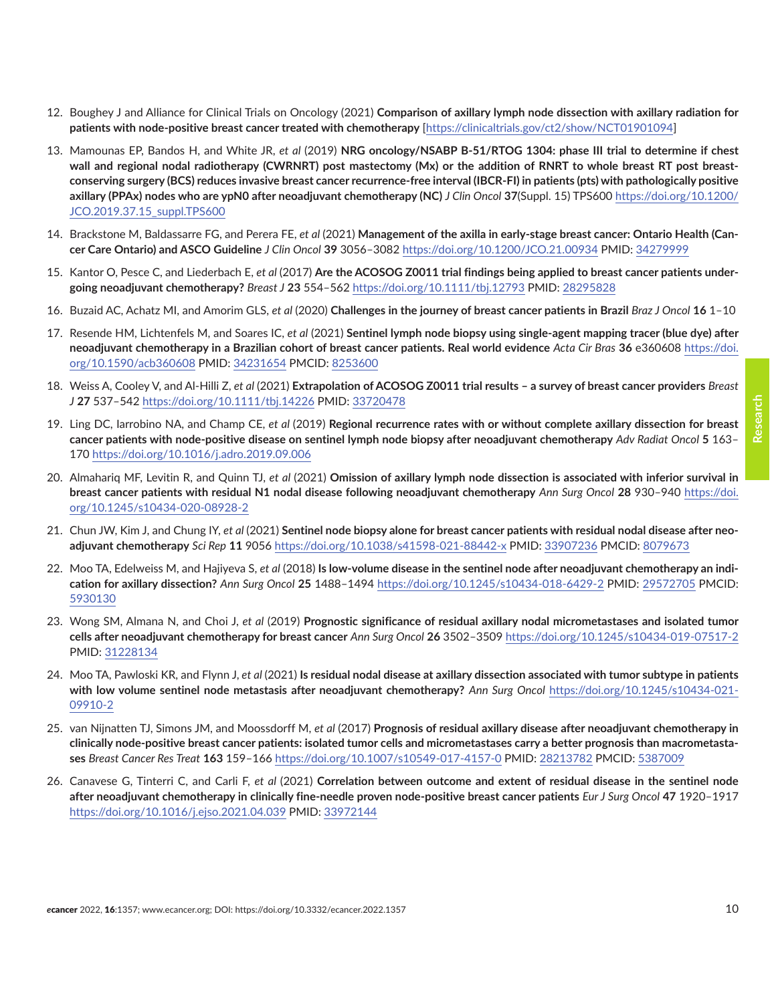- <span id="page-9-0"></span>12. Boughey J and Alliance for Clinical Trials on Oncology (2021) **Comparison of axillary lymph node dissection with axillary radiation for patients with node-positive breast cancer treated with chemotherapy** [\[https://clinicaltrials.gov/ct2/show/NCT01901094](https://clinicaltrials.gov/ct2/show/NCT01901094)]
- 13. Mamounas EP, Bandos H, and White JR, *et al* (2019) **NRG oncology/NSABP B-51/RTOG 1304: phase III trial to determine if chest wall and regional nodal radiotherapy (CWRNRT) post mastectomy (Mx) or the addition of RNRT to whole breast RT post breastconserving surgery (BCS) reduces invasive breast cancer recurrence-free interval (IBCR-FI) in patients (pts) with pathologically positive axillary (PPAx) nodes who are ypN0 after neoadjuvant chemotherapy (NC)** *J Clin Oncol* **37**(Suppl. 15) TPS600 [https://doi.org/10.1200/](https://doi.org/10.1200/JCO.2019.37.15_suppl.TPS600) [JCO.2019.37.15\\_suppl.TPS600](https://doi.org/10.1200/JCO.2019.37.15_suppl.TPS600)
- 14. Brackstone M, Baldassarre FG, and Perera FE, *et al* (2021) **Management of the axilla in early-stage breast cancer: Ontario Health (Cancer Care Ontario) and ASCO Guideline** *J Clin Oncol* **39** 3056–3082 <https://doi.org/10.1200/JCO.21.00934> PMID: [34279999](http://www.ncbi.nlm.nih.gov/pubmed/34279999)
- 15. Kantor O, Pesce C, and Liederbach E, *et al* (2017) **Are the ACOSOG Z0011 trial findings being applied to breast cancer patients undergoing neoadjuvant chemotherapy?** *Breast J* **23** 554–562<https://doi.org/10.1111/tbj.12793> PMID: [28295828](http://www.ncbi.nlm.nih.gov/pubmed/28295828)
- 16. Buzaid AC, Achatz MI, and Amorim GLS, *et al* (2020) **Challenges in the journey of breast cancer patients in Brazil** *Braz J Oncol* **16** 1–10
- 17. Resende HM, Lichtenfels M, and Soares IC, *et al* (2021) **Sentinel lymph node biopsy using single-agent mapping tracer (blue dye) after neoadjuvant chemotherapy in a Brazilian cohort of breast cancer patients. Real world evidence** *Acta Cir Bras* **36** e360608 [https://doi.](https://doi.org/10.1590/acb360608) [org/10.1590/acb360608](https://doi.org/10.1590/acb360608) PMID: [34231654](http://www.ncbi.nlm.nih.gov/pubmed/34231654) PMCID: 8253600
- 18. Weiss A, Cooley V, and Al-Hilli Z, *et al* (2021) **Extrapolation of ACOSOG Z0011 trial results a survey of breast cancer providers** *Breast J* **27** 537–542<https://doi.org/10.1111/tbj.14226> PMID: [33720478](http://www.ncbi.nlm.nih.gov/pubmed/33720478)
- 19. Ling DC, Iarrobino NA, and Champ CE, *et al* (2019) **Regional recurrence rates with or without complete axillary dissection for breast cancer patients with node-positive disease on sentinel lymph node biopsy after neoadjuvant chemotherapy** *Adv Radiat Oncol* **5** 163– 170 <https://doi.org/10.1016/j.adro.2019.09.006>
- 20. Almahariq MF, Levitin R, and Quinn TJ, *et al* (2021) **Omission of axillary lymph node dissection is associated with inferior survival in breast cancer patients with residual N1 nodal disease following neoadjuvant chemotherapy** *Ann Surg Oncol* **28** 930–940 [https://doi.](https://doi.org/10.1245/s10434-020-08928-2) [org/10.1245/s10434-020-08928-2](https://doi.org/10.1245/s10434-020-08928-2)
- 21. Chun JW, Kim J, and Chung IY, *et al* (2021) **Sentinel node biopsy alone for breast cancer patients with residual nodal disease after neoadjuvant chemotherapy** *Sci Rep* **11** 9056 <https://doi.org/10.1038/s41598-021-88442-x>PMID: [33907236](http://www.ncbi.nlm.nih.gov/pubmed/33907236) PMCID: [8079673](http://www.ncbi.nlm.nih.gov/pmc/articles/PMC8079673)
- 22. Moo TA, Edelweiss M, and Hajiyeva S, *et al* (2018) **Is low-volume disease in the sentinel node after neoadjuvant chemotherapy an indication for axillary dissection?** *Ann Surg Oncol* **25** 1488–1494 <https://doi.org/10.1245/s10434-018-6429-2>PMID: [29572705](http://www.ncbi.nlm.nih.gov/pubmed/29572705) PMCID: [5930130](http://www.ncbi.nlm.nih.gov/pmc/articles/PMC5930130)
- 23. Wong SM, Almana N, and Choi J, *et al* (2019) **Prognostic significance of residual axillary nodal micrometastases and isolated tumor cells after neoadjuvant chemotherapy for breast cancer** *Ann Surg Oncol* **26** 3502–3509<https://doi.org/10.1245/s10434-019-07517-2> PMID: [31228134](http://www.ncbi.nlm.nih.gov/pubmed/31228134)
- 24. Moo TA, Pawloski KR, and Flynn J, *et al* (2021) **Is residual nodal disease at axillary dissection associated with tumor subtype in patients with low volume sentinel node metastasis after neoadjuvant chemotherapy?** *Ann Surg Oncol* [https://doi.org/10.1245/s10434-021-](https://doi.org/10.1245/s10434-021-09910-2) [09910-2](https://doi.org/10.1245/s10434-021-09910-2)
- 25. van Nijnatten TJ, Simons JM, and Moossdorff M, *et al* (2017) **Prognosis of residual axillary disease after neoadjuvant chemotherapy in clinically node-positive breast cancer patients: isolated tumor cells and micrometastases carry a better prognosis than macrometastases** *Breast Cancer Res Treat* **163** 159–166<https://doi.org/10.1007/s10549-017-4157-0>PMID: [28213782](http://www.ncbi.nlm.nih.gov/pubmed/28213782) PMCID: [5387009](http://www.ncbi.nlm.nih.gov/pmc/articles/PMC5387009)
- 26. Canavese G, Tinterri C, and Carli F, *et al* (2021) **Correlation between outcome and extent of residual disease in the sentinel node after neoadjuvant chemotherapy in clinically fine-needle proven node-positive breast cancer patients** *Eur J Surg Oncol* **47** 1920–1917 <https://doi.org/10.1016/j.ejso.2021.04.039>PMID: [33972144](http://www.ncbi.nlm.nih.gov/pubmed/33972144)